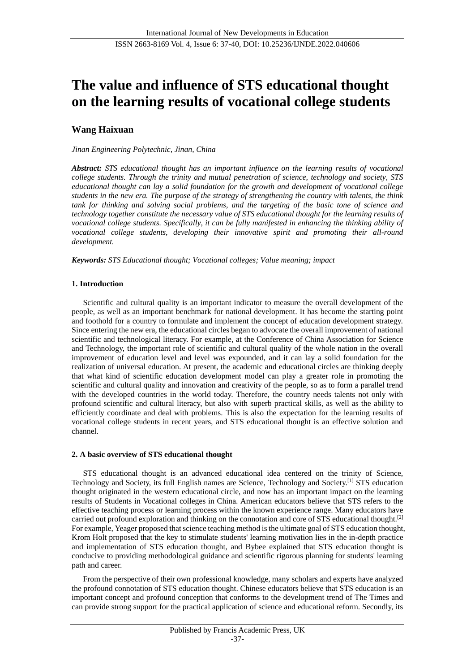# **The value and influence of STS educational thought on the learning results of vocational college students**

# **Wang Haixuan**

## *Jinan Engineering Polytechnic, Jinan, China*

*Abstract: STS educational thought has an important influence on the learning results of vocational college students. Through the trinity and mutual penetration of science, technology and society, STS educational thought can lay a solid foundation for the growth and development of vocational college students in the new era. The purpose of the strategy of strengthening the country with talents, the think tank for thinking and solving social problems, and the targeting of the basic tone of science and technology together constitute the necessary value of STS educational thought for the learning results of vocational college students. Specifically, it can be fully manifested in enhancing the thinking ability of vocational college students, developing their innovative spirit and promoting their all-round development.*

*Keywords: STS Educational thought; Vocational colleges; Value meaning; impact*

# **1. Introduction**

Scientific and cultural quality is an important indicator to measure the overall development of the people, as well as an important benchmark for national development. It has become the starting point and foothold for a country to formulate and implement the concept of education development strategy. Since entering the new era, the educational circles began to advocate the overall improvement of national scientific and technological literacy. For example, at the Conference of China Association for Science and Technology, the important role of scientific and cultural quality of the whole nation in the overall improvement of education level and level was expounded, and it can lay a solid foundation for the realization of universal education. At present, the academic and educational circles are thinking deeply that what kind of scientific education development model can play a greater role in promoting the scientific and cultural quality and innovation and creativity of the people, so as to form a parallel trend with the developed countries in the world today. Therefore, the country needs talents not only with profound scientific and cultural literacy, but also with superb practical skills, as well as the ability to efficiently coordinate and deal with problems. This is also the expectation for the learning results of vocational college students in recent years, and STS educational thought is an effective solution and channel.

#### **2. A basic overview of STS educational thought**

STS educational thought is an advanced educational idea centered on the trinity of Science, Technology and Society, its full English names are Science, Technology and Society.[1] STS education thought originated in the western educational circle, and now has an important impact on the learning results of Students in Vocational colleges in China. American educators believe that STS refers to the effective teaching process or learning process within the known experience range. Many educators have carried out profound exploration and thinking on the connotation and core of STS educational thought.[2] For example, Yeager proposed that science teaching method is the ultimate goal of STS education thought, Krom Holt proposed that the key to stimulate students' learning motivation lies in the in-depth practice and implementation of STS education thought, and Bybee explained that STS education thought is conducive to providing methodological guidance and scientific rigorous planning for students' learning path and career.

From the perspective of their own professional knowledge, many scholars and experts have analyzed the profound connotation of STS education thought. Chinese educators believe that STS education is an important concept and profound conception that conforms to the development trend of The Times and can provide strong support for the practical application of science and educational reform. Secondly, its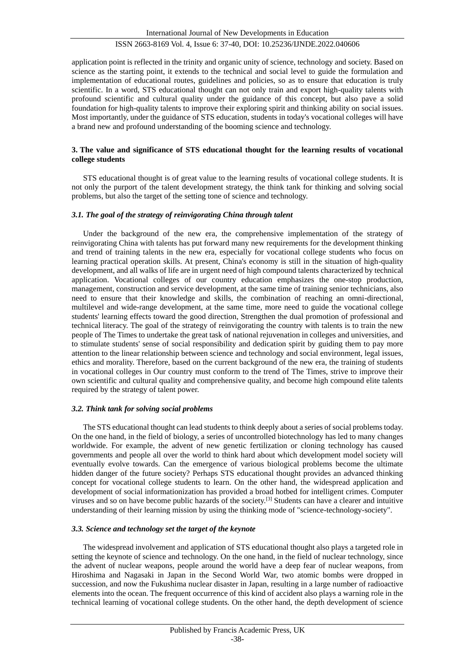# ISSN 2663-8169 Vol. 4, Issue 6: 37-40, DOI: 10.25236/IJNDE.2022.040606

application point is reflected in the trinity and organic unity of science, technology and society. Based on science as the starting point, it extends to the technical and social level to guide the formulation and implementation of educational routes, guidelines and policies, so as to ensure that education is truly scientific. In a word, STS educational thought can not only train and export high-quality talents with profound scientific and cultural quality under the guidance of this concept, but also pave a solid foundation for high-quality talents to improve their exploring spirit and thinking ability on social issues. Most importantly, under the guidance of STS education, students in today's vocational colleges will have a brand new and profound understanding of the booming science and technology.

### **3. The value and significance of STS educational thought for the learning results of vocational college students**

STS educational thought is of great value to the learning results of vocational college students. It is not only the purport of the talent development strategy, the think tank for thinking and solving social problems, but also the target of the setting tone of science and technology.

#### *3.1. The goal of the strategy of reinvigorating China through talent*

Under the background of the new era, the comprehensive implementation of the strategy of reinvigorating China with talents has put forward many new requirements for the development thinking and trend of training talents in the new era, especially for vocational college students who focus on learning practical operation skills. At present, China's economy is still in the situation of high-quality development, and all walks of life are in urgent need of high compound talents characterized by technical application. Vocational colleges of our country education emphasizes the one-stop production, management, construction and service development, at the same time of training senior technicians, also need to ensure that their knowledge and skills, the combination of reaching an omni-directional, multilevel and wide-range development, at the same time, more need to guide the vocational college students' learning effects toward the good direction, Strengthen the dual promotion of professional and technical literacy. The goal of the strategy of reinvigorating the country with talents is to train the new people of The Times to undertake the great task of national rejuvenation in colleges and universities, and to stimulate students' sense of social responsibility and dedication spirit by guiding them to pay more attention to the linear relationship between science and technology and social environment, legal issues, ethics and morality. Therefore, based on the current background of the new era, the training of students in vocational colleges in Our country must conform to the trend of The Times, strive to improve their own scientific and cultural quality and comprehensive quality, and become high compound elite talents required by the strategy of talent power.

#### *3.2. Think tank for solving social problems*

The STS educational thought can lead students to think deeply about a series of social problems today. On the one hand, in the field of biology, a series of uncontrolled biotechnology has led to many changes worldwide. For example, the advent of new genetic fertilization or cloning technology has caused governments and people all over the world to think hard about which development model society will eventually evolve towards. Can the emergence of various biological problems become the ultimate hidden danger of the future society? Perhaps STS educational thought provides an advanced thinking concept for vocational college students to learn. On the other hand, the widespread application and development of social informationization has provided a broad hotbed for intelligent crimes. Computer viruses and so on have become public hazards of the society.[3] Students can have a clearer and intuitive understanding of their learning mission by using the thinking mode of "science-technology-society".

### *3.3. Science and technology set the target of the keynote*

The widespread involvement and application of STS educational thought also plays a targeted role in setting the keynote of science and technology. On the one hand, in the field of nuclear technology, since the advent of nuclear weapons, people around the world have a deep fear of nuclear weapons, from Hiroshima and Nagasaki in Japan in the Second World War, two atomic bombs were dropped in succession, and now the Fukushima nuclear disaster in Japan, resulting in a large number of radioactive elements into the ocean. The frequent occurrence of this kind of accident also plays a warning role in the technical learning of vocational college students. On the other hand, the depth development of science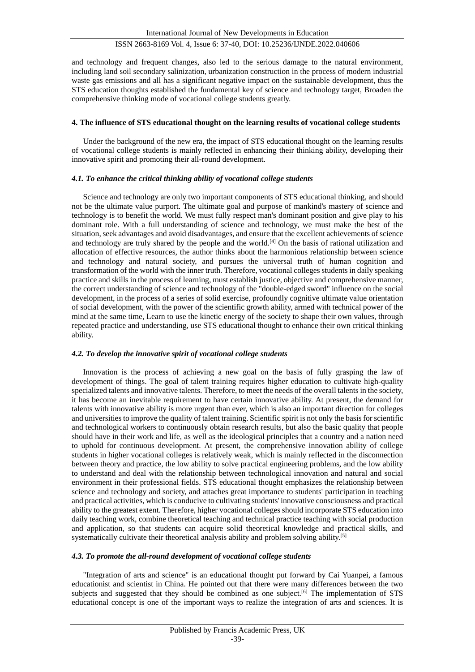# ISSN 2663-8169 Vol. 4, Issue 6: 37-40, DOI: 10.25236/IJNDE.2022.040606

and technology and frequent changes, also led to the serious damage to the natural environment, including land soil secondary salinization, urbanization construction in the process of modern industrial waste gas emissions and all has a significant negative impact on the sustainable development, thus the STS education thoughts established the fundamental key of science and technology target, Broaden the comprehensive thinking mode of vocational college students greatly.

#### **4. The influence of STS educational thought on the learning results of vocational college students**

Under the background of the new era, the impact of STS educational thought on the learning results of vocational college students is mainly reflected in enhancing their thinking ability, developing their innovative spirit and promoting their all-round development.

#### *4.1. To enhance the critical thinking ability of vocational college students*

Science and technology are only two important components of STS educational thinking, and should not be the ultimate value purport. The ultimate goal and purpose of mankind's mastery of science and technology is to benefit the world. We must fully respect man's dominant position and give play to his dominant role. With a full understanding of science and technology, we must make the best of the situation, seek advantages and avoid disadvantages, and ensure that the excellent achievements of science and technology are truly shared by the people and the world.[4] On the basis of rational utilization and allocation of effective resources, the author thinks about the harmonious relationship between science and technology and natural society, and pursues the universal truth of human cognition and transformation of the world with the inner truth. Therefore, vocational colleges students in daily speaking practice and skills in the process of learning, must establish justice, objective and comprehensive manner, the correct understanding of science and technology of the "double-edged sword" influence on the social development, in the process of a series of solid exercise, profoundly cognitive ultimate value orientation of social development, with the power of the scientific growth ability, armed with technical power of the mind at the same time, Learn to use the kinetic energy of the society to shape their own values, through repeated practice and understanding, use STS educational thought to enhance their own critical thinking ability.

#### *4.2. To develop the innovative spirit of vocational college students*

Innovation is the process of achieving a new goal on the basis of fully grasping the law of development of things. The goal of talent training requires higher education to cultivate high-quality specialized talents and innovative talents. Therefore, to meet the needs of the overall talents in the society, it has become an inevitable requirement to have certain innovative ability. At present, the demand for talents with innovative ability is more urgent than ever, which is also an important direction for colleges and universities to improve the quality of talent training. Scientific spirit is not only the basis for scientific and technological workers to continuously obtain research results, but also the basic quality that people should have in their work and life, as well as the ideological principles that a country and a nation need to uphold for continuous development. At present, the comprehensive innovation ability of college students in higher vocational colleges is relatively weak, which is mainly reflected in the disconnection between theory and practice, the low ability to solve practical engineering problems, and the low ability to understand and deal with the relationship between technological innovation and natural and social environment in their professional fields. STS educational thought emphasizes the relationship between science and technology and society, and attaches great importance to students' participation in teaching and practical activities, which is conducive to cultivating students' innovative consciousness and practical ability to the greatest extent. Therefore, higher vocational colleges should incorporate STS education into daily teaching work, combine theoretical teaching and technical practice teaching with social production and application, so that students can acquire solid theoretical knowledge and practical skills, and systematically cultivate their theoretical analysis ability and problem solving ability.<sup>[5]</sup>

#### *4.3. To promote the all-round development of vocational college students*

"Integration of arts and science" is an educational thought put forward by Cai Yuanpei, a famous educationist and scientist in China. He pointed out that there were many differences between the two subjects and suggested that they should be combined as one subject.<sup>[6]</sup> The implementation of STS educational concept is one of the important ways to realize the integration of arts and sciences. It is